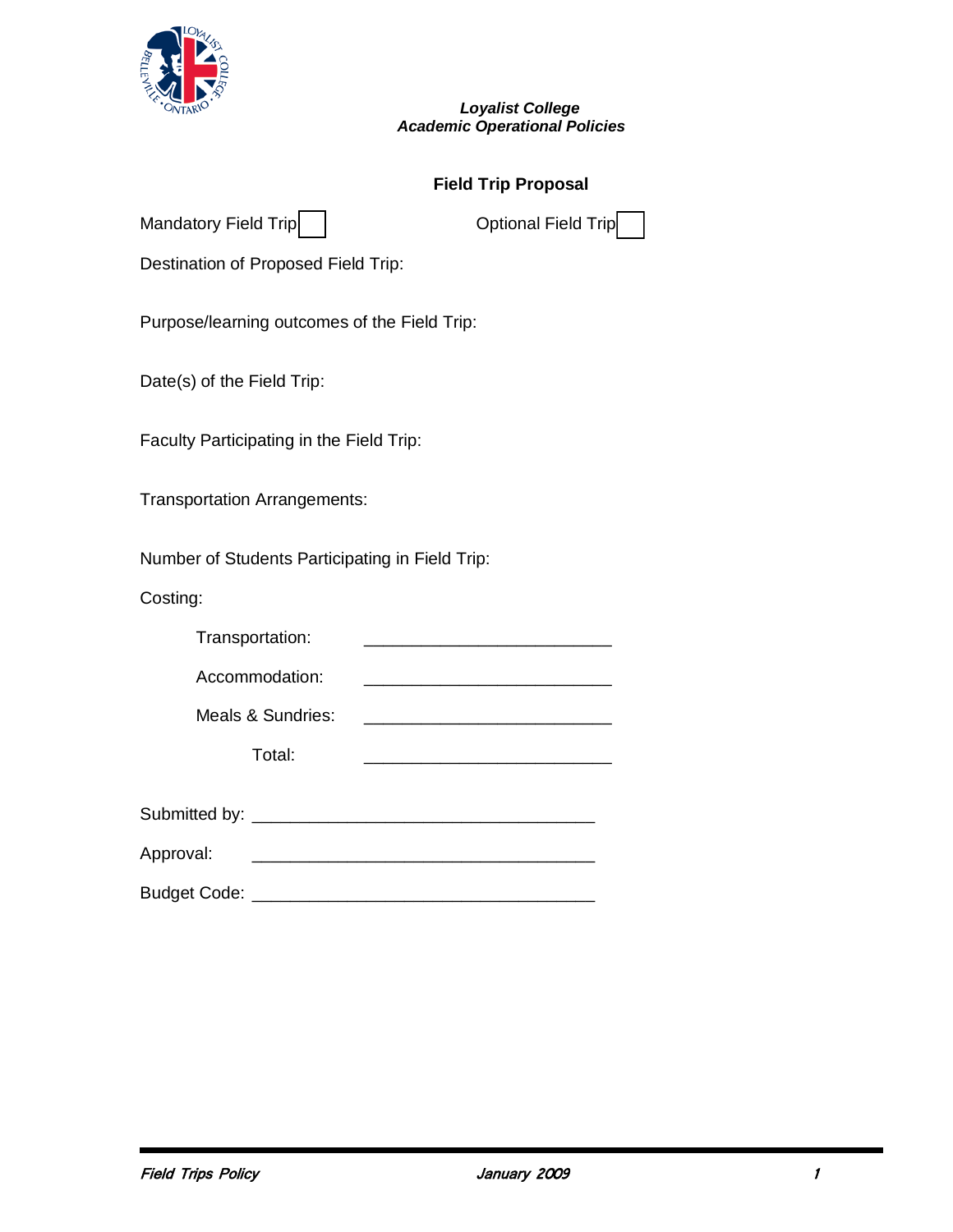

## *Loyalist College Academic Operational Policies*

## **Field Trip Proposal**

| Destination of Proposed Field Trip:                                                                     |
|---------------------------------------------------------------------------------------------------------|
| Purpose/learning outcomes of the Field Trip:                                                            |
| Date(s) of the Field Trip:                                                                              |
| Faculty Participating in the Field Trip:                                                                |
| <b>Transportation Arrangements:</b>                                                                     |
| Number of Students Participating in Field Trip:                                                         |
| Costing:                                                                                                |
| Transportation:                                                                                         |
| Accommodation:                                                                                          |
| Meals & Sundries:<br><u> 1980 - Johann Barn, mars ar breithinn ar breithinn an t-Alban ann an 1960.</u> |
| Total:                                                                                                  |
|                                                                                                         |
| Approval:                                                                                               |

Budget Code: \_\_\_\_\_\_\_\_\_\_\_\_\_\_\_\_\_\_\_\_\_\_\_\_\_\_\_\_\_\_\_\_\_\_\_\_

Mandatory Field Trip [ ] Optional Field Trip [ ]